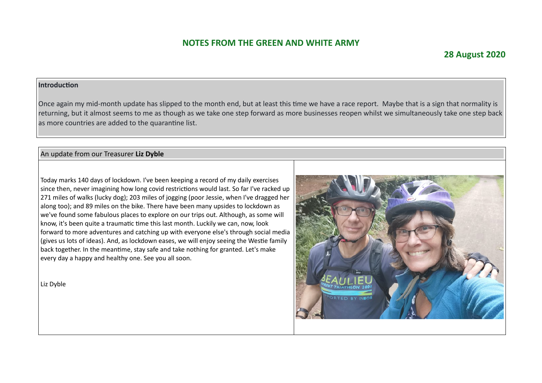### **28 August 2020**

#### **Introduction**

Once again my mid-month update has slipped to the month end, but at least this time we have a race report. Maybe that is a sign that normality is returning, but it almost seems to me as though as we take one step forward as more businesses reopen whilst we simultaneously take one step back as more countries are added to the quarantine list.

#### An update from our Treasurer **Liz Dyble**

Today marks 140 days of lockdown. I've been keeping a record of my daily exercises since then, never imagining how long covid restrictions would last. So far I've racked up 271 miles of walks (lucky dog); 203 miles of jogging (poor Jessie, when I've dragged her along too); and 89 miles on the bike. There have been many upsides to lockdown as we've found some fabulous places to explore on our trips out. Although, as some will know, it's been quite a traumatic time this last month. Luckily we can, now, look forward to more adventures and catching up with everyone else's through social media (gives us lots of ideas). And, as lockdown eases, we will enjoy seeing the Westie family back together. In the meantime, stay safe and take nothing for granted. Let's make every day a happy and healthy one. See you all soon.

Liz Dyble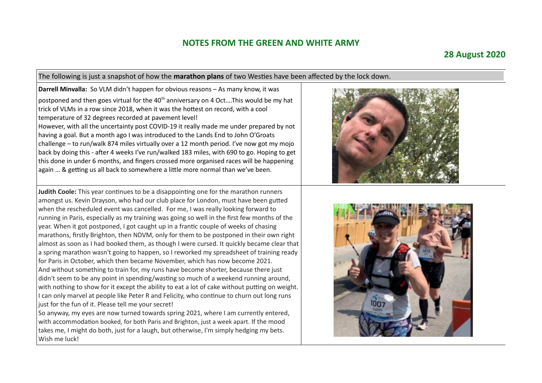#### **28 August 2020**

The following is just a snapshot of how the **marathon plans** of two Westies have been affected by the lock down.

**Darrell Minvalla:** So VLM didn't happen for obvious reasons – As many know, it was postponed and then goes virtual for the  $40<sup>th</sup>$  anniversary on 4 Oct....This would be my hat trick of VLMs in a row since 2018, when it was the hottest on record, with a cool temperature of 32 degrees recorded at pavement level! However, with all the uncertainty post COVID-19 it really made me under prepared by not having a goal. But a month ago I was introduced to the Lands End to John O'Groats challenge – to run/walk 874 miles virtually over a 12 month period. I've now got my mojo back by doing this - after 4 weeks I've run/walked 183 miles, with 690 to go. Hoping to get this done in under 6 months, and fingers crossed more organised races will be happening again … & getting us all back to somewhere a little more normal than we've been.

**Judith Coole:** This year continues to be a disappointing one for the marathon runners amongst us. Kevin Drayson, who had our club place for London, must have been gutted when the rescheduled event was cancelled. For me, I was really looking forward to running in Paris, especially as my training was going so well in the first few months of the year. When it got postponed, I got caught up in a frantic couple of weeks of chasing marathons, firstly Brighton, then NDVM, only for them to be postponed in their own right almost as soon as I had booked them, as though I were cursed. It quickly became clear that a spring marathon wasn't going to happen, so I reworked my spreadsheet of training ready for Paris in October, which then became November, which has now become 2021. And without something to train for, my runs have become shorter, because there just didn't seem to be any point in spending/wasting so much of a weekend running around, with nothing to show for it except the ability to eat a lot of cake without putting on weight. I can only marvel at people like Peter R and Felicity, who continue to churn out long runs just for the fun of it. Please tell me your secret!

So anyway, my eyes are now turned towards spring 2021, where I am currently entered, with accommodation booked, for both Paris and Brighton, just a week apart. If the mood takes me, I might do both, just for a laugh, but otherwise, I'm simply hedging my bets. Wish me luck!



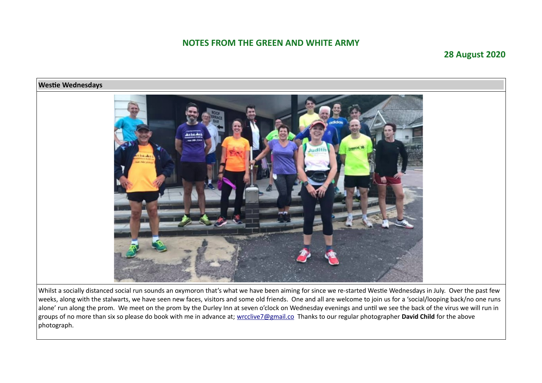### **28 August 2020**



Whilst a socially distanced social run sounds an oxymoron that's what we have been aiming for since we re-started Westie Wednesdays in July. Over the past few weeks, along with the stalwarts, we have seen new faces, visitors and some old friends. One and all are welcome to join us for a 'social/looping back/no one runs alone' run along the prom. We meet on the prom by the Durley Inn at seven o'clock on Wednesday evenings and until we see the back of the virus we will run in groups of no more than six so please do book with me in advance at; [wrcclive7@gmail.co](mailto:wrcclive7@gmail.co) Thanks to our regular photographer **David Child** for the above photograph.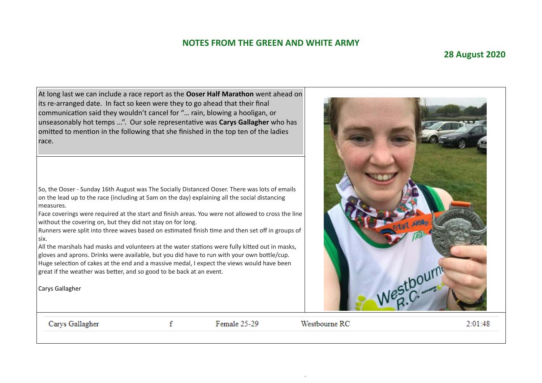#### **28 August 2020**

At long last we can include a race report as the **Ooser Half Marathon** went ahead on its re-arranged date. In fact so keen were they to go ahead that their final communication said they wouldn't cancel for "… rain, blowing a hooligan, or unseasonably hot temps ...". Our sole representative was **Carys Gallagher** who has omitted to mention in the following that she finished in the top ten of the ladies race.

So, the Ooser - Sunday 16th August was The Socially Distanced Ooser. There was lots of emails on the lead up to the race (including at 5am on the day) explaining all the social distancing measures.

Face coverings were required at the start and finish areas. You were not allowed to cross the line without the covering on, but they did not stay on for long.

Runners were split into three waves based on estimated finish time and then set off in groups of six.

All the marshals had masks and volunteers at the water stations were fully kitted out in masks, gloves and aprons. Drinks were available, but you did have to run with your own bottle/cup. Huge selection of cakes at the end and a massive medal, I expect the views would have been great if the weather was better, and so good to be back at an event.

 $\mathbf f$ 

Carys Gallagher

Carys Gallagher

Female 25-29

Westbourne RC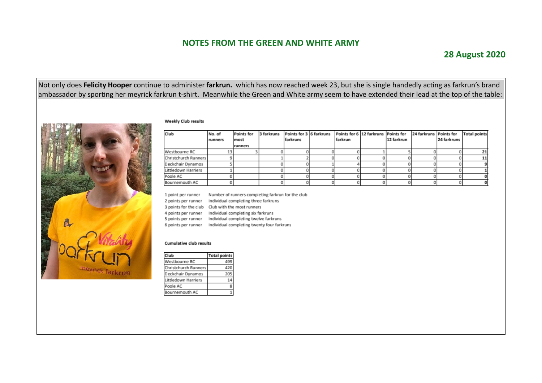#### **28 August 2020**

Not only does **Felicity Hooper** continue to administer **farkrun.** which has now reached week 23, but she is single handedly acting as farkrun's brand ambassador by sporting her meyrick farkrun t-shirt. Meanwhile the Green and White army seem to have extended their lead at the top of the table:

#### **Weekly Club results**



| Club                 | No. of<br>runners | Points for<br>most<br>runners | 3 farkruns | Points for 3 6 farkruns<br>farkruns | Points for 6 12 farkruns Points for<br>farkrun | 12 farkrun | 24 farkruns Points for | 24 farkruns | <b>Total points</b> |
|----------------------|-------------------|-------------------------------|------------|-------------------------------------|------------------------------------------------|------------|------------------------|-------------|---------------------|
| Westbourne RC        |                   |                               |            |                                     |                                                |            |                        |             |                     |
| Christchurch Runners |                   |                               |            |                                     |                                                |            |                        |             |                     |
| Deckchair Dynamos    |                   |                               |            |                                     |                                                |            |                        |             |                     |
| Littledown Harriers  |                   |                               |            |                                     |                                                |            |                        |             |                     |
| Poole AC             |                   |                               |            |                                     |                                                |            |                        |             |                     |
| Bournemouth AC       |                   |                               |            |                                     |                                                |            |                        |             |                     |

Number of runners completing farkrun for the club 1 point per runner

2 points per runner Individual completing three farkruns

3 points for the club Club with the most runners

4 points per runner Individual completing six farkruns

5 points per runner Individual completing twelve farkruns

6 points per runner Individual completing twenty four farkruns

#### **Cumulative club results**

| Club                 | <b>Total points</b> |
|----------------------|---------------------|
| Westbourne RC        | 499                 |
| Christchurch Runners | 420                 |
| Deckchair Dynamos    | 205                 |
| Littledown Harriers  |                     |
| Poole AC             |                     |
| Bournemouth AC       |                     |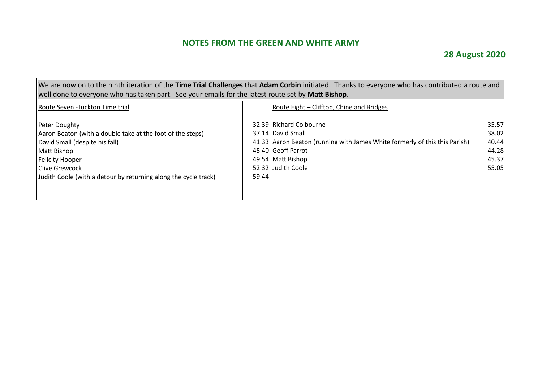# **28 August 2020**

| We are now on to the ninth iteration of the Time Trial Challenges that Adam Corbin initiated. Thanks to everyone who has contributed a route and<br>well done to everyone who has taken part. See your emails for the latest route set by Matt Bishop. |       |                                                                                                                                                                                             |                                                    |  |  |  |  |  |
|--------------------------------------------------------------------------------------------------------------------------------------------------------------------------------------------------------------------------------------------------------|-------|---------------------------------------------------------------------------------------------------------------------------------------------------------------------------------------------|----------------------------------------------------|--|--|--|--|--|
| Route Seven - Tuckton Time trial                                                                                                                                                                                                                       |       | Route Eight – Clifftop, Chine and Bridges                                                                                                                                                   |                                                    |  |  |  |  |  |
| Peter Doughty<br>Aaron Beaton (with a double take at the foot of the steps)<br>David Small (despite his fall)<br>Matt Bishop<br><b>Felicity Hooper</b><br>Clive Grewcock<br>Judith Coole (with a detour by returning along the cycle track)            | 59.44 | 32.39 Richard Colbourne<br>37.14 David Small<br>41.33 Aaron Beaton (running with James White formerly of this this Parish)<br>45.40 Geoff Parrot<br>49.54 Matt Bishop<br>52.32 Judith Coole | 35.57<br>38.02<br>40.44<br>44.28<br>45.37<br>55.05 |  |  |  |  |  |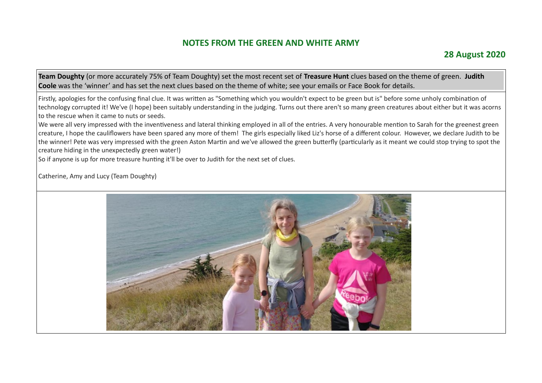**Team Doughty** (or more accurately 75% of Team Doughty) set the most recent set of **Treasure Hunt** clues based on the theme of green. **Judith Coole** was the 'winner' and has set the next clues based on the theme of white; see your emails or Face Book for details.

Firstly, apologies for the confusing final clue. It was written as "Something which you wouldn't expect to be green but is" before some unholy combination of technology corrupted it! We've (I hope) been suitably understanding in the judging. Turns out there aren't so many green creatures about either but it was acorns to the rescue when it came to nuts or seeds.

We were all very impressed with the inventiveness and lateral thinking employed in all of the entries. A very honourable mention to Sarah for the greenest green creature, I hope the cauliflowers have been spared any more of them! The girls especially liked Liz's horse of a different colour. However, we declare Judith to be the winner! Pete was very impressed with the green Aston Martin and we've allowed the green butterfly (particularly as it meant we could stop trying to spot the creature hiding in the unexpectedly green water!)

So if anyone is up for more treasure hunting it'll be over to Judith for the next set of clues.

Catherine, Amy and Lucy (Team Doughty)